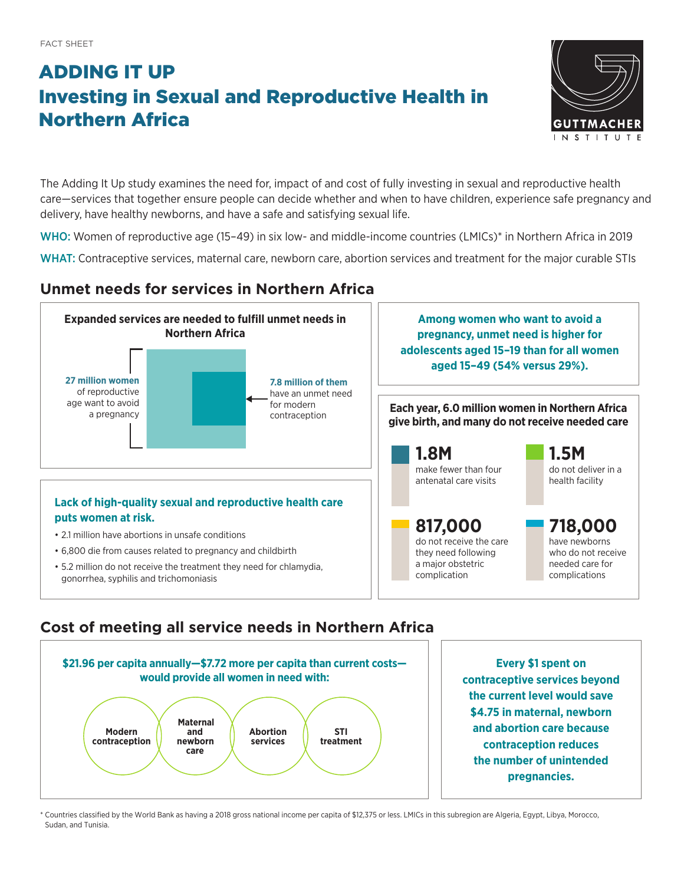# ADDING IT UP Investing in Sexual and Reproductive Health in Northern Africa



The Adding It Up study examines the need for, impact of and cost of fully investing in sexual and reproductive health care—services that together ensure people can decide whether and when to have children, experience safe pregnancy and delivery, have healthy newborns, and have a safe and satisfying sexual life.

WHO: Women of reproductive age (15–49) in six low- and middle-income countries (LMICs)\* in Northern Africa in 2019

WHAT: Contraceptive services, maternal care, newborn care, abortion services and treatment for the major curable STIs

## **Unmet needs for services in Northern Africa**



## **Cost of meeting all service needs in Northern Africa**



**Every \$1 spent on contraceptive services beyond the current level would save \$4.75 in maternal, newborn and abortion care because contraception reduces the number of unintended pregnancies.**

\* Countries classified by the World Bank as having a 2018 gross national income per capita of \$12,375 or less. LMICs in this subregion are Algeria, Egypt, Libya, Morocco, Sudan, and Tunisia.